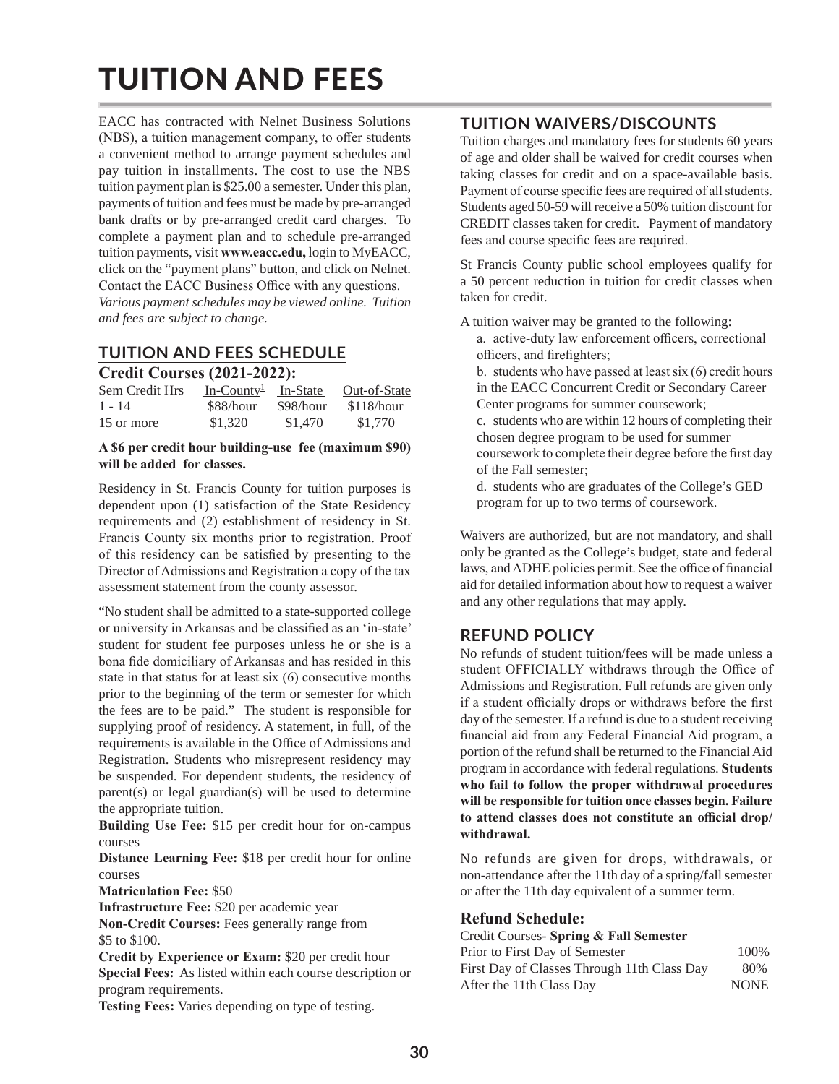# TUITION AND FEES

EACC has contracted with Nelnet Business Solutions (NBS), a tuition management company, to offer students a convenient method to arrange payment schedules and pay tuition in installments. The cost to use the NBS tuition payment plan is \$25.00 a semester. Under this plan, payments of tuition and fees must be made by pre-arranged bank drafts or by pre-arranged credit card charges. To complete a payment plan and to schedule pre-arranged tuition payments, visit **www.eacc.edu,** login to MyEACC, click on the "payment plans" button, and click on Nelnet. Contact the EACC Business Office with any questions. *Various payment schedules may be viewed online. Tuition and fees are subject to change.*

# **TUITION AND FEES SCHEDULE**

## **Credit Courses (2021-2022):**

| Sem Credit Hrs | $In-Country1$ In-State |           | Out-of-State |  |  |  |
|----------------|------------------------|-----------|--------------|--|--|--|
| $1 - 14$       | \$88/hour              | \$98/hour | \$118/hour   |  |  |  |
| 15 or more     | \$1,320                | \$1,470   | \$1,770      |  |  |  |

#### **A \$6 per credit hour building-use fee (maximum \$90) will be added for classes.**

Residency in St. Francis County for tuition purposes is dependent upon (1) satisfaction of the State Residency requirements and (2) establishment of residency in St. Francis County six months prior to registration. Proof of this residency can be satisfied by presenting to the Director of Admissions and Registration a copy of the tax assessment statement from the county assessor.

"No student shall be admitted to a state-supported college or university in Arkansas and be classified as an 'in-state' student for student fee purposes unless he or she is a bona fide domiciliary of Arkansas and has resided in this state in that status for at least six (6) consecutive months prior to the beginning of the term or semester for which the fees are to be paid." The student is responsible for supplying proof of residency. A statement, in full, of the requirements is available in the Office of Admissions and Registration. Students who misrepresent residency may be suspended. For dependent students, the residency of parent(s) or legal guardian(s) will be used to determine the appropriate tuition.

**Building Use Fee:** \$15 per credit hour for on-campus courses

**Distance Learning Fee:** \$18 per credit hour for online courses

**Matriculation Fee:** \$50

**Infrastructure Fee:** \$20 per academic year

**Non-Credit Courses:** Fees generally range from \$5 to \$100.

**Credit by Experience or Exam:** \$20 per credit hour **Special Fees:** As listed within each course description or program requirements.

**Testing Fees:** Varies depending on type of testing.

## **TUITION WAIVERS/DISCOUNTS**

Tuition charges and mandatory fees for students 60 years of age and older shall be waived for credit courses when taking classes for credit and on a space-available basis. Payment of course specific fees are required of all students. Students aged 50-59 will receive a 50% tuition discount for CREDIT classes taken for credit. Payment of mandatory fees and course specific fees are required.

St Francis County public school employees qualify for a 50 percent reduction in tuition for credit classes when taken for credit.

A tuition waiver may be granted to the following: a. active-duty law enforcement officers, correctional officers, and firefighters;

b. students who have passed at least six (6) credit hours in the EACC Concurrent Credit or Secondary Career Center programs for summer coursework;

c. students who are within 12 hours of completing their chosen degree program to be used for summer coursework to complete their degree before the first day of the Fall semester;

d. students who are graduates of the College's GED program for up to two terms of coursework.

Waivers are authorized, but are not mandatory, and shall only be granted as the College's budget, state and federal laws, and ADHE policies permit. See the office of financial aid for detailed information about how to request a waiver and any other regulations that may apply.

# **REFUND POLICY**

No refunds of student tuition/fees will be made unless a student OFFICIALLY withdraws through the Office of Admissions and Registration. Full refunds are given only if a student officially drops or withdraws before the first day of the semester. If a refund is due to a student receiving financial aid from any Federal Financial Aid program, a portion of the refund shall be returned to the Financial Aid program in accordance with federal regulations. **Students who fail to follow the proper withdrawal procedures will be responsible for tuition once classes begin. Failure to attend classes does not constitute an official drop/ withdrawal.**

No refunds are given for drops, withdrawals, or non-attendance after the 11th day of a spring/fall semester or after the 11th day equivalent of a summer term.

## **Refund Schedule:**

### Credit Courses- **Spring & Fall Semester** Prior to First Day of Semester 100% First Day of Classes Through 11th Class Day 80% After the 11th Class Day NONE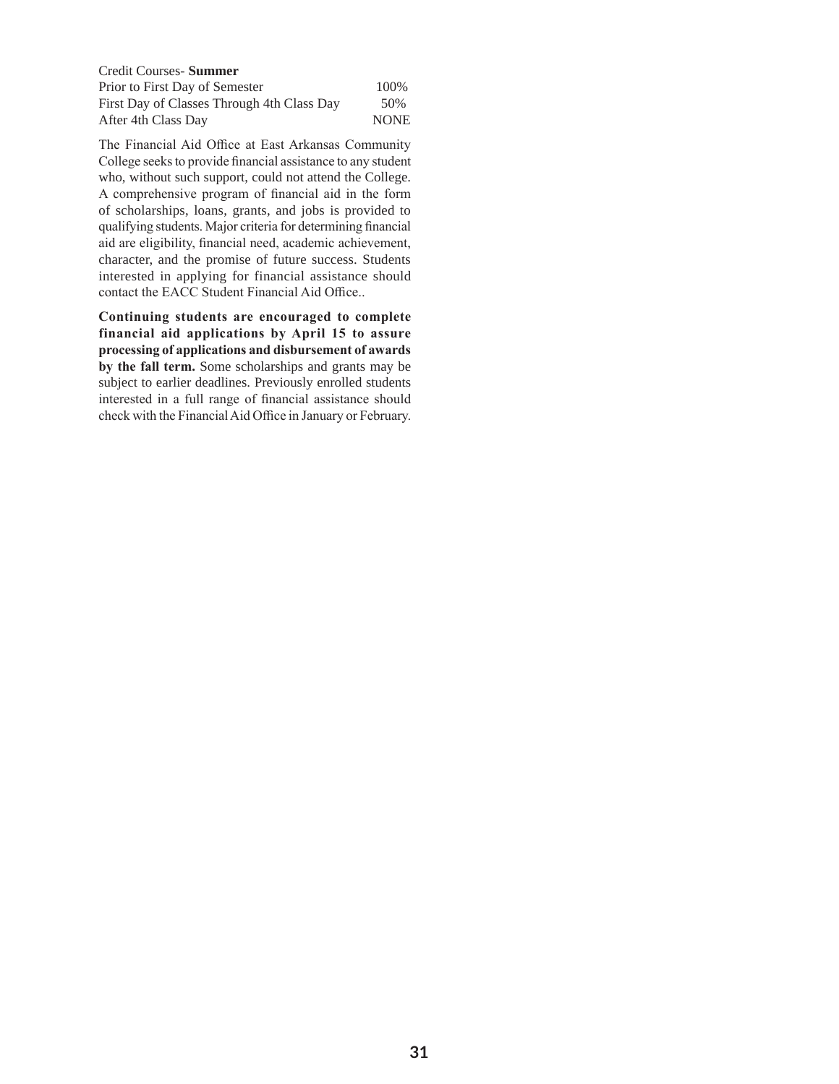| Credit Courses- Summer                     |             |
|--------------------------------------------|-------------|
| Prior to First Day of Semester             | 100%        |
| First Day of Classes Through 4th Class Day | 50%         |
| After 4th Class Day                        | <b>NONE</b> |

The Financial Aid Office at East Arkansas Community College seeks to provide financial assistance to any student who, without such support, could not attend the College. A comprehensive program of financial aid in the form of scholarships, loans, grants, and jobs is provided to qualifying students. Major criteria for determining financial aid are eligibility, financial need, academic achievement, character, and the promise of future success. Students interested in applying for financial assistance should contact the EACC Student Financial Aid Office..

**Continuing students are encouraged to complete financial aid applications by April 15 to assure processing of applications and disbursement of awards by the fall term.** Some scholarships and grants may be subject to earlier deadlines. Previously enrolled students interested in a full range of financial assistance should check with the Financial Aid Office in January or February.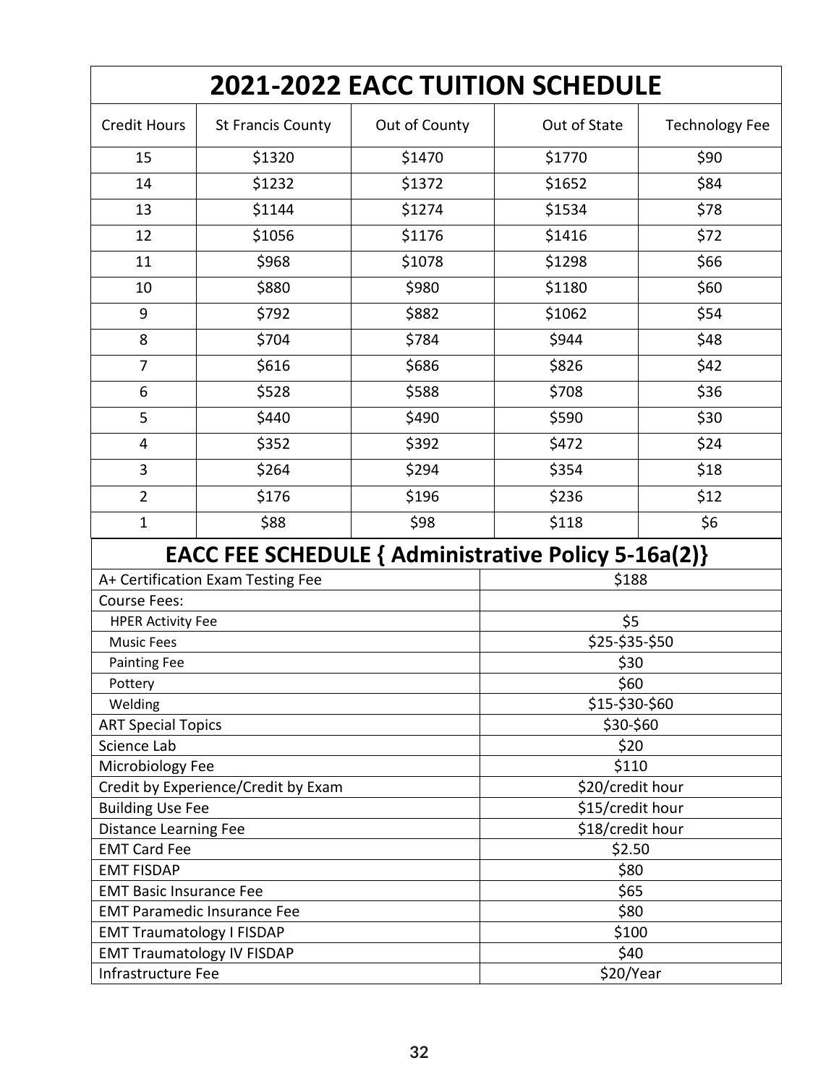| 2021-2022 EACC TUITION SCHEDULE                                                                 |                          |                                      |                  |                       |  |
|-------------------------------------------------------------------------------------------------|--------------------------|--------------------------------------|------------------|-----------------------|--|
| <b>Credit Hours</b>                                                                             | <b>St Francis County</b> | Out of County                        | Out of State     | <b>Technology Fee</b> |  |
| 15                                                                                              | \$1320                   | \$1470                               | \$1770           | \$90                  |  |
| 14                                                                                              | \$1232                   | \$1372                               | \$1652           | \$84                  |  |
| 13                                                                                              | \$1144                   | \$1274                               | \$1534           | \$78                  |  |
| 12                                                                                              | \$1056                   | \$1176                               | \$1416           | \$72                  |  |
| 11                                                                                              | \$968                    | \$1078                               | \$1298           | \$66                  |  |
| 10                                                                                              | \$880                    | \$980                                | \$1180           | \$60                  |  |
| 9                                                                                               | \$792                    | \$882                                | \$1062           | \$54                  |  |
| 8                                                                                               | \$704                    | \$784                                | \$944            | \$48                  |  |
| $\overline{7}$                                                                                  | \$616                    | \$686                                | \$826            | \$42                  |  |
| 6                                                                                               | \$528                    | \$588                                | \$708            | \$36                  |  |
| 5                                                                                               | \$440                    | \$490                                | \$590            | \$30                  |  |
| 4                                                                                               | \$352                    | \$392                                | \$472            | \$24                  |  |
| $\overline{3}$                                                                                  | \$264                    | \$294                                | \$354            | \$18                  |  |
| $\overline{2}$                                                                                  | \$176                    | \$196                                | \$236            | \$12                  |  |
| $\mathbf{1}$                                                                                    | \$88                     | \$98                                 | \$118            | \$6                   |  |
|                                                                                                 |                          |                                      |                  |                       |  |
| <b>EACC FEE SCHEDULE { Administrative Policy 5-16a(2)}</b><br>A+ Certification Exam Testing Fee |                          |                                      | \$188            |                       |  |
| <b>Course Fees:</b>                                                                             |                          |                                      |                  |                       |  |
| <b>HPER Activity Fee</b>                                                                        |                          |                                      | \$5              |                       |  |
| <b>Music Fees</b>                                                                               |                          |                                      | \$25-\$35-\$50   |                       |  |
| <b>Painting Fee</b>                                                                             |                          | \$30                                 |                  |                       |  |
| Pottery                                                                                         |                          |                                      | \$60             |                       |  |
| Welding                                                                                         |                          | \$15-\$30-\$60                       |                  |                       |  |
| <b>ART Special Topics</b>                                                                       |                          |                                      | \$30-\$60        |                       |  |
| Science Lab                                                                                     |                          |                                      | \$20             |                       |  |
| Microbiology Fee                                                                                |                          |                                      | \$110            |                       |  |
| Credit by Experience/Credit by Exam                                                             |                          |                                      | \$20/credit hour |                       |  |
| <b>Building Use Fee</b>                                                                         |                          | \$15/credit hour<br>\$18/credit hour |                  |                       |  |
| Distance Learning Fee                                                                           |                          | \$2.50                               |                  |                       |  |
| <b>EMT Card Fee</b><br><b>EMT FISDAP</b>                                                        |                          | \$80                                 |                  |                       |  |
| <b>EMT Basic Insurance Fee</b>                                                                  |                          | \$65                                 |                  |                       |  |
| <b>EMT Paramedic Insurance Fee</b>                                                              |                          |                                      | \$80             |                       |  |
| <b>EMT Traumatology I FISDAP</b>                                                                |                          |                                      | \$100            |                       |  |
| <b>EMT Traumatology IV FISDAP</b>                                                               |                          |                                      | \$40             |                       |  |
| Infrastructure Fee                                                                              |                          |                                      | \$20/Year        |                       |  |